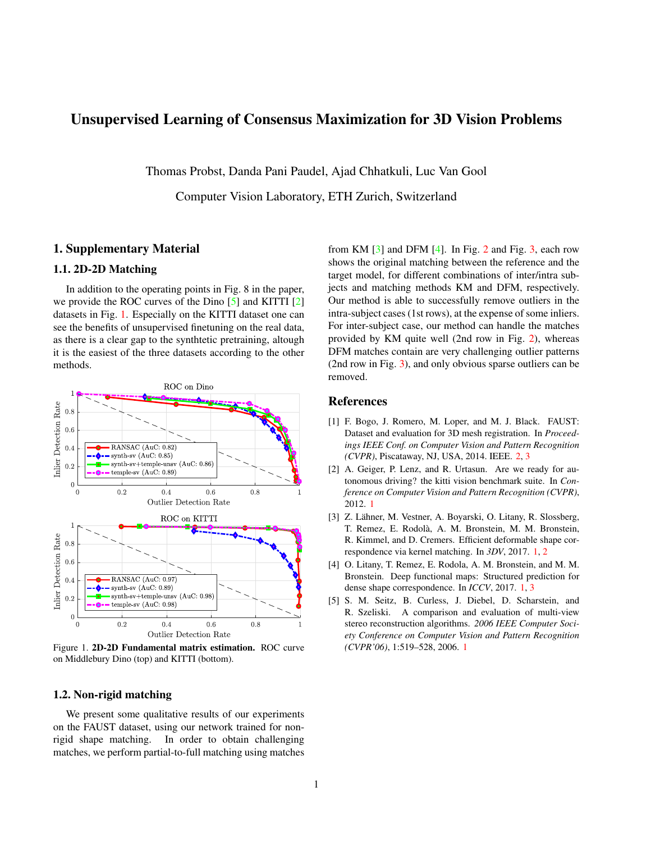# <span id="page-0-5"></span>Unsupervised Learning of Consensus Maximization for 3D Vision Problems

Thomas Probst, Danda Pani Paudel, Ajad Chhatkuli, Luc Van Gool

Computer Vision Laboratory, ETH Zurich, Switzerland

## 1. Supplementary Material

## 1.1. 2D-2D Matching

In addition to the operating points in Fig. 8 in the paper, we provide the ROC curves of the Dino [\[5\]](#page-0-0) and KITTI [\[2\]](#page-0-1) datasets in Fig. [1.](#page-0-2) Especially on the KITTI dataset one can see the benefits of unsupervised finetuning on the real data, as there is a clear gap to the synthtetic pretraining, altough it is the easiest of the three datasets according to the other methods.



<span id="page-0-2"></span>Figure 1. 2D-2D Fundamental matrix estimation. ROC curve on Middlebury Dino (top) and KITTI (bottom).

### 1.2. Non-rigid matching

We present some qualitative results of our experiments on the FAUST dataset, using our network trained for nonrigid shape matching. In order to obtain challenging matches, we perform partial-to-full matching using matches

from KM  $\lceil 3 \rceil$  and DFM  $\lceil 4 \rceil$ . In Fig. [2](#page-1-0) and Fig. [3,](#page-2-0) each row shows the original matching between the reference and the target model, for different combinations of inter/intra subjects and matching methods KM and DFM, respectively. Our method is able to successfully remove outliers in the intra-subject cases (1st rows), at the expense of some inliers. For inter-subject case, our method can handle the matches provided by KM quite well (2nd row in Fig. [2\)](#page-1-0), whereas DFM matches contain are very challenging outlier patterns (2nd row in Fig. [3\)](#page-2-0), and only obvious sparse outliers can be removed.

### References

- <span id="page-0-6"></span>[1] F. Bogo, J. Romero, M. Loper, and M. J. Black. FAUST: Dataset and evaluation for 3D mesh registration. In *Proceedings IEEE Conf. on Computer Vision and Pattern Recognition (CVPR)*, Piscataway, NJ, USA, 2014. IEEE. [2,](#page-1-1) [3](#page-2-1)
- <span id="page-0-1"></span>[2] A. Geiger, P. Lenz, and R. Urtasun. Are we ready for autonomous driving? the kitti vision benchmark suite. In *Conference on Computer Vision and Pattern Recognition (CVPR)*, 2012. [1](#page-0-5)
- <span id="page-0-3"></span>[3] Z. Lähner, M. Vestner, A. Boyarski, O. Litany, R. Slossberg, T. Remez, E. Rodola, A. M. Bronstein, M. M. Bronstein, ` R. Kimmel, and D. Cremers. Efficient deformable shape correspondence via kernel matching. In *3DV*, 2017. [1,](#page-0-5) [2](#page-1-1)
- <span id="page-0-4"></span>[4] O. Litany, T. Remez, E. Rodola, A. M. Bronstein, and M. M. Bronstein. Deep functional maps: Structured prediction for dense shape correspondence. In *ICCV*, 2017. [1,](#page-0-5) [3](#page-2-1)
- <span id="page-0-0"></span>[5] S. M. Seitz, B. Curless, J. Diebel, D. Scharstein, and R. Szeliski. A comparison and evaluation of multi-view stereo reconstruction algorithms. *2006 IEEE Computer Society Conference on Computer Vision and Pattern Recognition (CVPR'06)*, 1:519–528, 2006. [1](#page-0-5)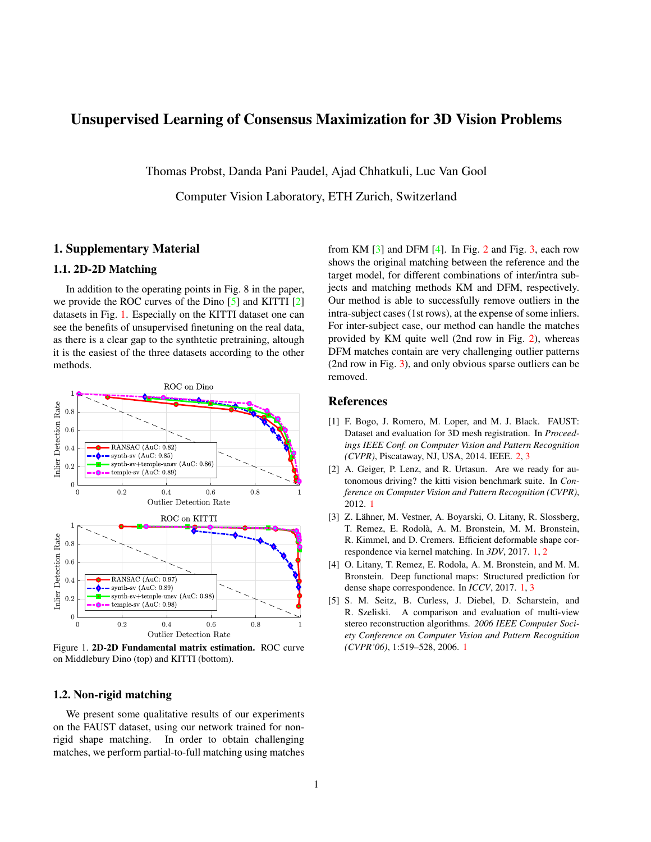<span id="page-1-1"></span>

<span id="page-1-0"></span>Figure 2. Non-rigid matching on FAUST [\[1\]](#page-0-6) using KM [\[3\]](#page-0-3). Each row shows the original matching between the reference and the target model, followed by the matches filtered by our network with color-coded correspondences. The top row shows an example for intra-subject, the bottom row inter-subject matching.